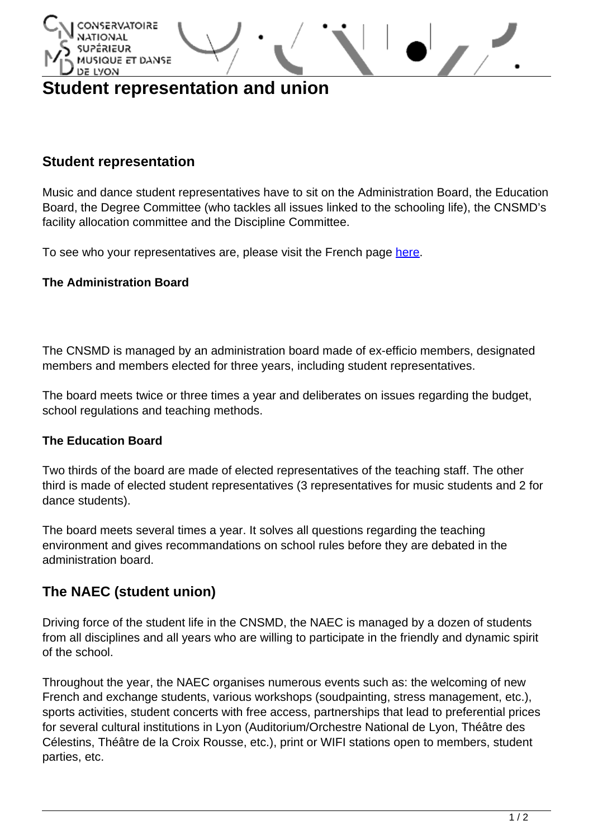

# **Student representation and union**

### **Student representation**

Music and dance student representatives have to sit on the Administration Board, the Education Board, the Degree Committee (who tackles all issues linked to the schooling life), the CNSMD's facility allocation committee and the Discipline Committee.

To see who your representatives are, please visit the French page [here](http://www.cnsmd-lyon.fr/fr-2/la-scolarite/representation-des-etudiants).

#### **The Administration Board**

The CNSMD is managed by an administration board made of ex-efficio members, designated members and members elected for three years, including student representatives.

The board meets twice or three times a year and deliberates on issues regarding the budget, school regulations and teaching methods.

#### **The Education Board**

Two thirds of the board are made of elected representatives of the teaching staff. The other third is made of elected student representatives (3 representatives for music students and 2 for dance students).

The board meets several times a year. It solves all questions regarding the teaching environment and gives recommandations on school rules before they are debated in the administration board.

## **The NAEC (student union)**

Driving force of the student life in the CNSMD, the NAEC is managed by a dozen of students from all disciplines and all years who are willing to participate in the friendly and dynamic spirit of the school.

Throughout the year, the NAEC organises numerous events such as: the welcoming of new French and exchange students, various workshops (soudpainting, stress management, etc.), sports activities, student concerts with free access, partnerships that lead to preferential prices for several cultural institutions in Lyon (Auditorium/Orchestre National de Lyon, Théâtre des Célestins, Théâtre de la Croix Rousse, etc.), print or WIFI stations open to members, student parties, etc.